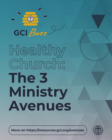

# **Healthy Church: The 3 Ministry Avenues**

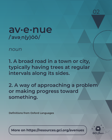

#### **av·e·nue /ˈavəˌn(y)ŌŌ/**

*noun*

**1. A broad road in a town or city, typically having trees at regular intervals along its sides.**

**2. A way of approaching a problem or making progress toward something.**

**Definitions from Oxford Languages**

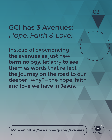

**GCI has 3 Avenues:** *Hope, Faith & Love.*

**Instead of experiencing the avenues as just new terminology, let's try to see them as words that reflect the journey on the road to our deeper "why" – the hope, faith and love we have in Jesus.**

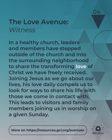

### **The Love Avenue:** *Witness*

**In a healthy church, leaders and members have stepped outside of the church and into the surrounding neighborhood to share the transforming love of Christ we have freely received. Joining Jesus as we go about our lives, his love daily compels us to look for ways to share his life with those we come in contact with. This leads to visitors and family members joining us in worship on a given Sunday.**

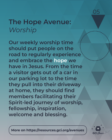

### **The Hope Avenue:** *Worship*

**Our weekly worship time should put people on the road to regularly experience and embrace the hope we have in Jesus. From the time a visitor gets out of a car in our parking lot to the time they pull into their driveway at home, they should find members facilitating their Spirit-led journey of worship, fellowship, inspiration, welcome and blessing.**

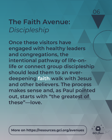

## **The Faith Avenue:** *Discipleship*

**Once these visitors have engaged with healthy leaders and congregations, the intentional pathway of life-onlife or connect group discipleship should lead them to an everdeepening faith walk with Jesus and other believers. The process makes sense and, as Paul pointed out, starts with "the greatest of these"—love.**